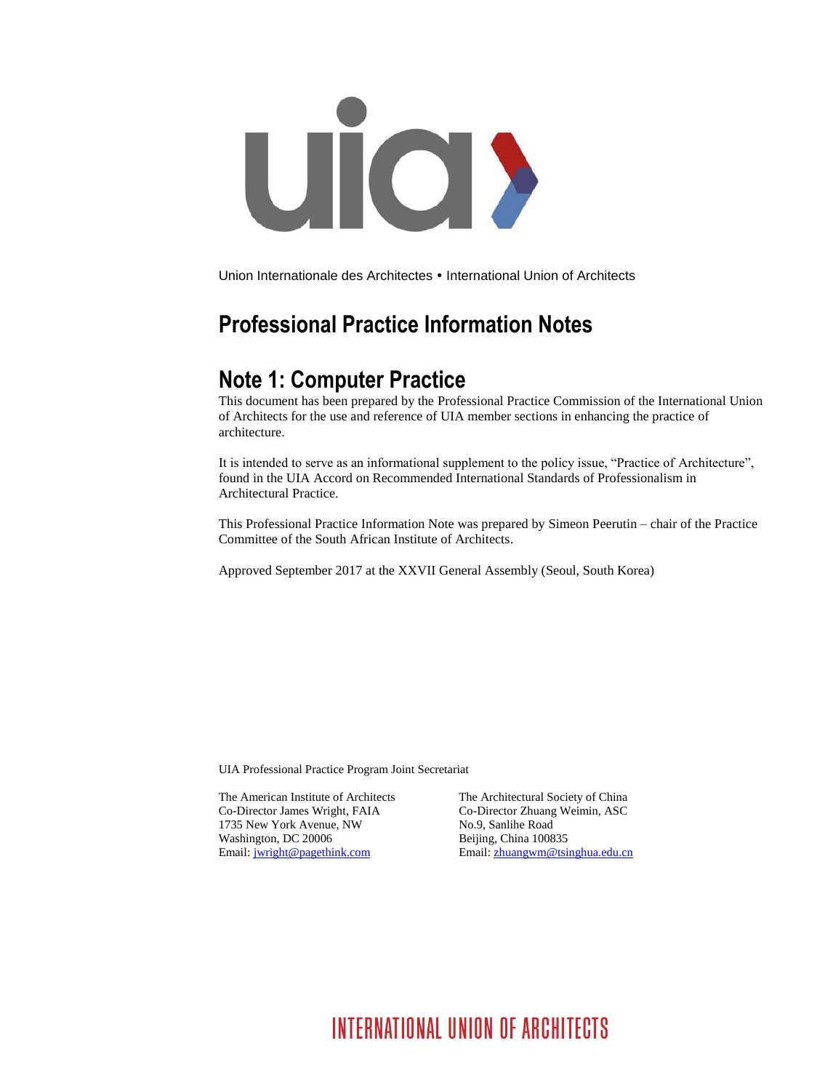

Union Internationale des Architectes • International Union of Architects

# **Professional Practice Information Notes**

## **Note 1: Computer Practice**

This document has been prepared by the Professional Practice Commission of the International Union of Architects for the use and reference of UIA member sections in enhancing the practice of architecture.

It is intended to serve as an informational supplement to the policy issue, "Practice of Architecture", found in the UIA Accord on Recommended International Standards of Professionalism in Architectural Practice.

This Professional Practice Information Note was prepared by Simeon Peerutin – chair of the Practice Committee of the South African Institute of Architects.

Approved September 2017 at the XXVII General Assembly (Seoul, South Korea)

UIA Professional Practice Program Joint Secretariat

The American Institute of Architects The Architectural Society of China Co-Director James Wright, FAIA Co-Director Zhuang Weimin, ASC 1735 New York Avenue, NW No.9, Sanlihe Road Washington, DC 20006 Beijing, China 100835

Email: [jwright@pagethink.com](mailto:jwright@pagethink.com) Email: [zhuangwm@tsinghua.edu.cn](mailto:zhuangwm@tsinghua.edu.cn)

# INTERNATIONAL UNION OF ARCHITECTS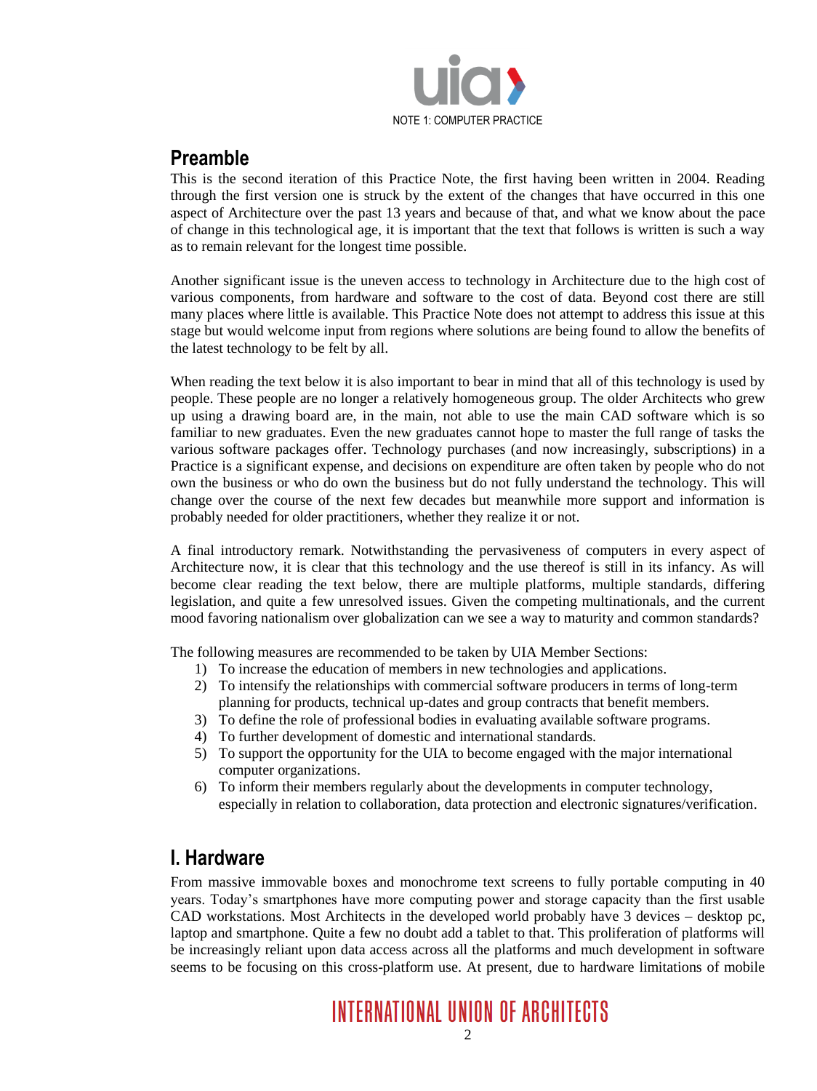

### **Preamble**

This is the second iteration of this Practice Note, the first having been written in 2004. Reading through the first version one is struck by the extent of the changes that have occurred in this one aspect of Architecture over the past 13 years and because of that, and what we know about the pace of change in this technological age, it is important that the text that follows is written is such a way as to remain relevant for the longest time possible.

Another significant issue is the uneven access to technology in Architecture due to the high cost of various components, from hardware and software to the cost of data. Beyond cost there are still many places where little is available. This Practice Note does not attempt to address this issue at this stage but would welcome input from regions where solutions are being found to allow the benefits of the latest technology to be felt by all.

When reading the text below it is also important to bear in mind that all of this technology is used by people. These people are no longer a relatively homogeneous group. The older Architects who grew up using a drawing board are, in the main, not able to use the main CAD software which is so familiar to new graduates. Even the new graduates cannot hope to master the full range of tasks the various software packages offer. Technology purchases (and now increasingly, subscriptions) in a Practice is a significant expense, and decisions on expenditure are often taken by people who do not own the business or who do own the business but do not fully understand the technology. This will change over the course of the next few decades but meanwhile more support and information is probably needed for older practitioners, whether they realize it or not.

A final introductory remark. Notwithstanding the pervasiveness of computers in every aspect of Architecture now, it is clear that this technology and the use thereof is still in its infancy. As will become clear reading the text below, there are multiple platforms, multiple standards, differing legislation, and quite a few unresolved issues. Given the competing multinationals, and the current mood favoring nationalism over globalization can we see a way to maturity and common standards?

The following measures are recommended to be taken by UIA Member Sections:

- 1) To increase the education of members in new technologies and applications.
- 2) To intensify the relationships with commercial software producers in terms of long-term planning for products, technical up-dates and group contracts that benefit members.
- 3) To define the role of professional bodies in evaluating available software programs.
- 4) To further development of domestic and international standards.
- 5) To support the opportunity for the UIA to become engaged with the major international computer organizations.
- 6) To inform their members regularly about the developments in computer technology, especially in relation to collaboration, data protection and electronic signatures/verification.

### **I. Hardware**

From massive immovable boxes and monochrome text screens to fully portable computing in 40 years. Today's smartphones have more computing power and storage capacity than the first usable CAD workstations. Most Architects in the developed world probably have 3 devices – desktop pc, laptop and smartphone. Quite a few no doubt add a tablet to that. This proliferation of platforms will be increasingly reliant upon data access across all the platforms and much development in software seems to be focusing on this cross-platform use. At present, due to hardware limitations of mobile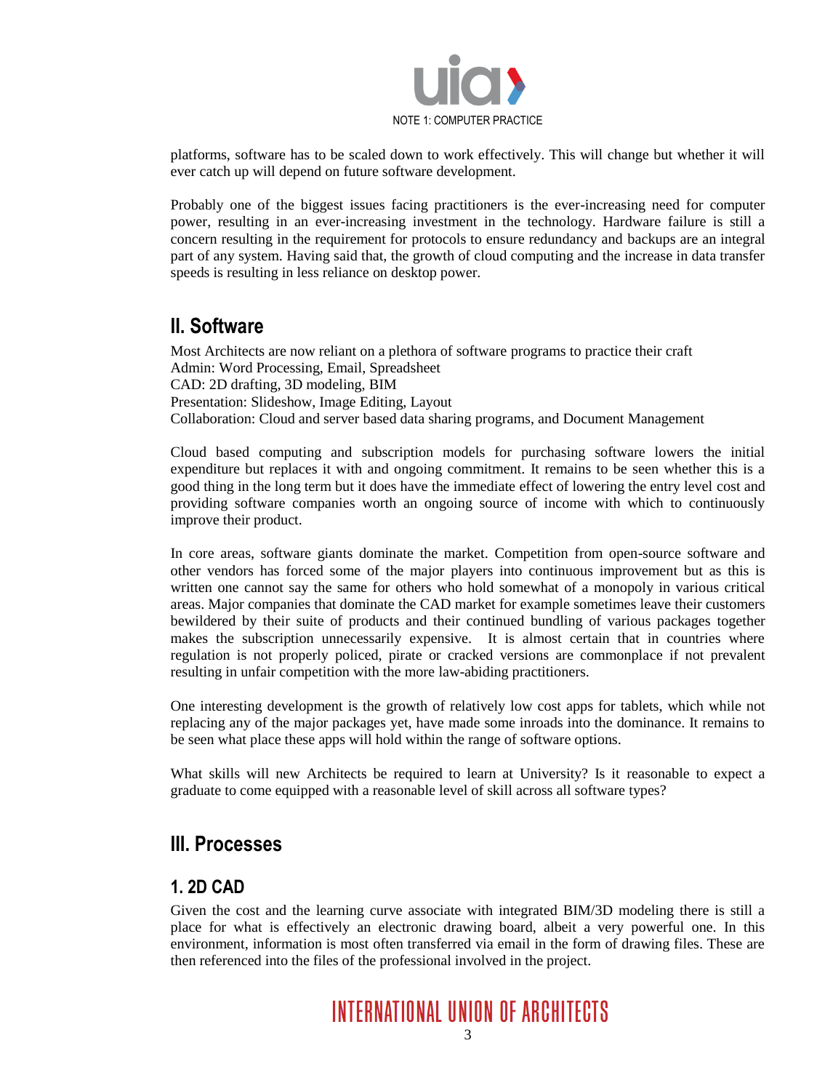

platforms, software has to be scaled down to work effectively. This will change but whether it will ever catch up will depend on future software development.

Probably one of the biggest issues facing practitioners is the ever-increasing need for computer power, resulting in an ever-increasing investment in the technology. Hardware failure is still a concern resulting in the requirement for protocols to ensure redundancy and backups are an integral part of any system. Having said that, the growth of cloud computing and the increase in data transfer speeds is resulting in less reliance on desktop power.

### **II. Software**

Most Architects are now reliant on a plethora of software programs to practice their craft Admin: Word Processing, Email, Spreadsheet CAD: 2D drafting, 3D modeling, BIM Presentation: Slideshow, Image Editing, Layout Collaboration: Cloud and server based data sharing programs, and Document Management

Cloud based computing and subscription models for purchasing software lowers the initial expenditure but replaces it with and ongoing commitment. It remains to be seen whether this is a good thing in the long term but it does have the immediate effect of lowering the entry level cost and providing software companies worth an ongoing source of income with which to continuously improve their product.

In core areas, software giants dominate the market. Competition from open-source software and other vendors has forced some of the major players into continuous improvement but as this is written one cannot say the same for others who hold somewhat of a monopoly in various critical areas. Major companies that dominate the CAD market for example sometimes leave their customers bewildered by their suite of products and their continued bundling of various packages together makes the subscription unnecessarily expensive. It is almost certain that in countries where regulation is not properly policed, pirate or cracked versions are commonplace if not prevalent resulting in unfair competition with the more law-abiding practitioners.

One interesting development is the growth of relatively low cost apps for tablets, which while not replacing any of the major packages yet, have made some inroads into the dominance. It remains to be seen what place these apps will hold within the range of software options.

What skills will new Architects be required to learn at University? Is it reasonable to expect a graduate to come equipped with a reasonable level of skill across all software types?

#### **III. Processes**

#### **1. 2D CAD**

Given the cost and the learning curve associate with integrated BIM/3D modeling there is still a place for what is effectively an electronic drawing board, albeit a very powerful one. In this environment, information is most often transferred via email in the form of drawing files. These are then referenced into the files of the professional involved in the project.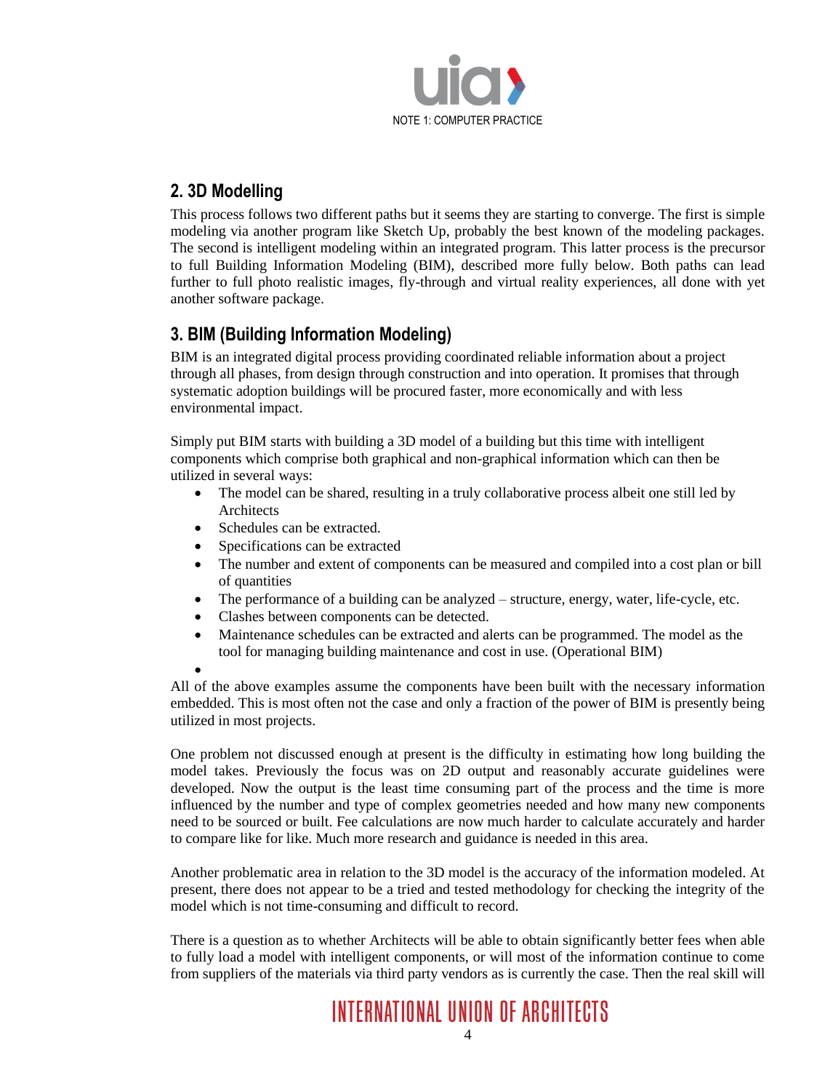

#### **2. 3D Modelling**

This process follows two different paths but it seems they are starting to converge. The first is simple modeling via another program like Sketch Up, probably the best known of the modeling packages. The second is intelligent modeling within an integrated program. This latter process is the precursor to full Building Information Modeling (BIM), described more fully below. Both paths can lead further to full photo realistic images, fly-through and virtual reality experiences, all done with yet another software package.

#### **3. BIM (Building Information Modeling)**

BIM is an integrated digital process providing coordinated reliable information about a project through all phases, from design through construction and into operation. It promises that through systematic adoption buildings will be procured faster, more economically and with less environmental impact.

Simply put BIM starts with building a 3D model of a building but this time with intelligent components which comprise both graphical and non-graphical information which can then be utilized in several ways:

- The model can be shared, resulting in a truly collaborative process albeit one still led by Architects
- Schedules can be extracted.
- Specifications can be extracted
- The number and extent of components can be measured and compiled into a cost plan or bill of quantities
- The performance of a building can be analyzed structure, energy, water, life-cycle, etc.
- Clashes between components can be detected.
- Maintenance schedules can be extracted and alerts can be programmed. The model as the tool for managing building maintenance and cost in use. (Operational BIM)

 $\bullet$ 

All of the above examples assume the components have been built with the necessary information embedded. This is most often not the case and only a fraction of the power of BIM is presently being utilized in most projects.

One problem not discussed enough at present is the difficulty in estimating how long building the model takes. Previously the focus was on 2D output and reasonably accurate guidelines were developed. Now the output is the least time consuming part of the process and the time is more influenced by the number and type of complex geometries needed and how many new components need to be sourced or built. Fee calculations are now much harder to calculate accurately and harder to compare like for like. Much more research and guidance is needed in this area.

Another problematic area in relation to the 3D model is the accuracy of the information modeled. At present, there does not appear to be a tried and tested methodology for checking the integrity of the model which is not time-consuming and difficult to record.

There is a question as to whether Architects will be able to obtain significantly better fees when able to fully load a model with intelligent components, or will most of the information continue to come from suppliers of the materials via third party vendors as is currently the case. Then the real skill will

**INTERNATIONAL UNION OF ARCHITECTS**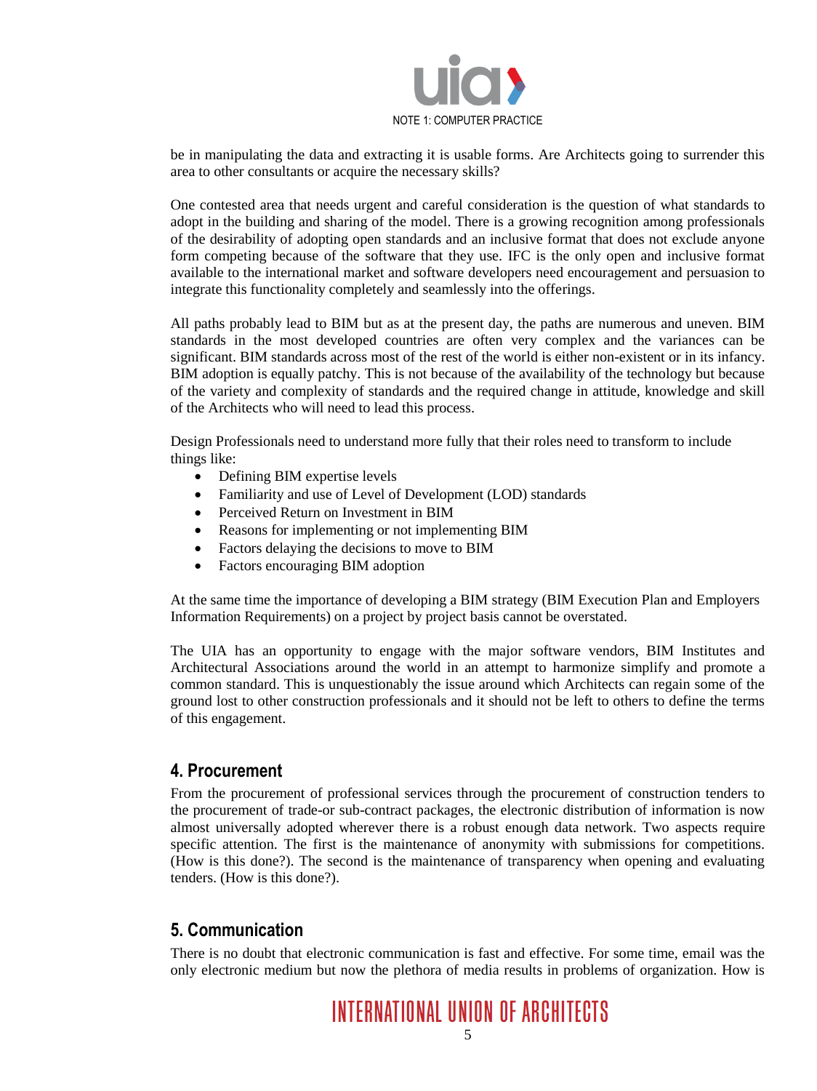

be in manipulating the data and extracting it is usable forms. Are Architects going to surrender this area to other consultants or acquire the necessary skills?

One contested area that needs urgent and careful consideration is the question of what standards to adopt in the building and sharing of the model. There is a growing recognition among professionals of the desirability of adopting open standards and an inclusive format that does not exclude anyone form competing because of the software that they use. IFC is the only open and inclusive format available to the international market and software developers need encouragement and persuasion to integrate this functionality completely and seamlessly into the offerings.

All paths probably lead to BIM but as at the present day, the paths are numerous and uneven. BIM standards in the most developed countries are often very complex and the variances can be significant. BIM standards across most of the rest of the world is either non-existent or in its infancy. BIM adoption is equally patchy. This is not because of the availability of the technology but because of the variety and complexity of standards and the required change in attitude, knowledge and skill of the Architects who will need to lead this process.

Design Professionals need to understand more fully that their roles need to transform to include things like:

- Defining BIM expertise levels
- Familiarity and use of Level of Development (LOD) standards
- Perceived Return on Investment in BIM
- Reasons for implementing or not implementing BIM
- Factors delaying the decisions to move to BIM
- Factors encouraging BIM adoption

At the same time the importance of developing a BIM strategy (BIM Execution Plan and Employers Information Requirements) on a project by project basis cannot be overstated.

The UIA has an opportunity to engage with the major software vendors, BIM Institutes and Architectural Associations around the world in an attempt to harmonize simplify and promote a common standard. This is unquestionably the issue around which Architects can regain some of the ground lost to other construction professionals and it should not be left to others to define the terms of this engagement.

#### **4. Procurement**

From the procurement of professional services through the procurement of construction tenders to the procurement of trade-or sub-contract packages, the electronic distribution of information is now almost universally adopted wherever there is a robust enough data network. Two aspects require specific attention. The first is the maintenance of anonymity with submissions for competitions. (How is this done?). The second is the maintenance of transparency when opening and evaluating tenders. (How is this done?).

#### **5. Communication**

There is no doubt that electronic communication is fast and effective. For some time, email was the only electronic medium but now the plethora of media results in problems of organization. How is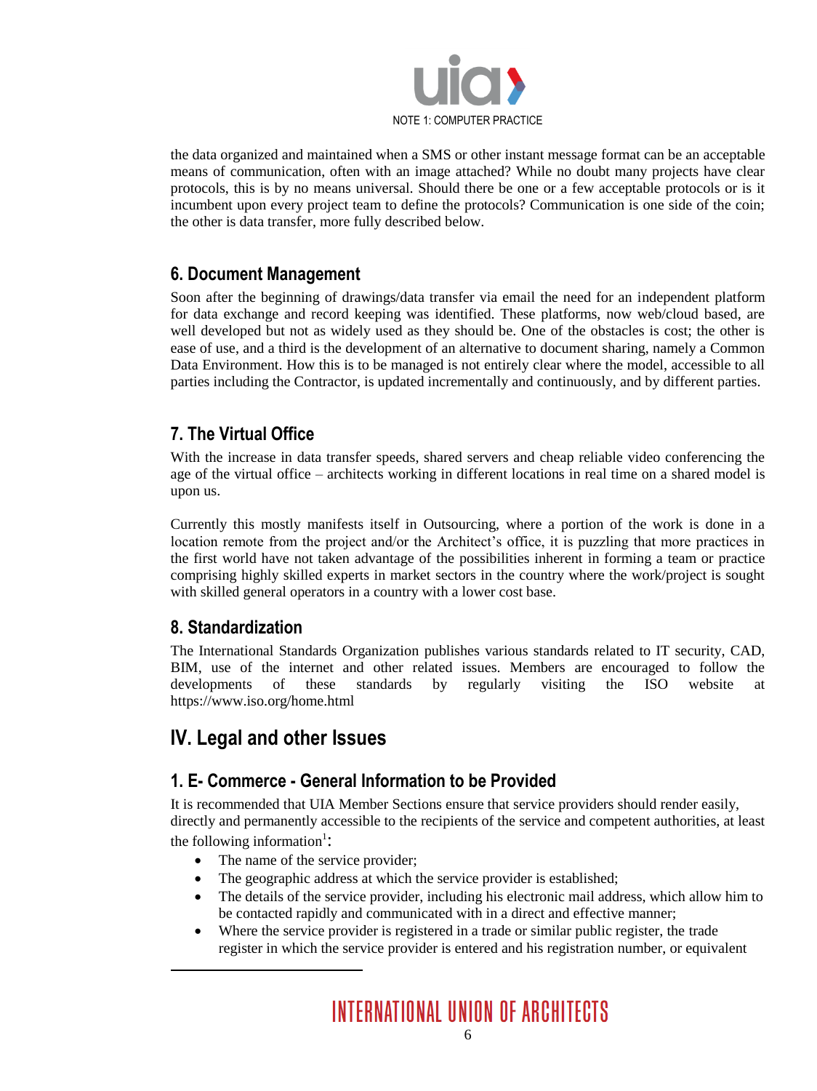

the data organized and maintained when a SMS or other instant message format can be an acceptable means of communication, often with an image attached? While no doubt many projects have clear protocols, this is by no means universal. Should there be one or a few acceptable protocols or is it incumbent upon every project team to define the protocols? Communication is one side of the coin; the other is data transfer, more fully described below.

#### **6. Document Management**

Soon after the beginning of drawings/data transfer via email the need for an independent platform for data exchange and record keeping was identified. These platforms, now web/cloud based, are well developed but not as widely used as they should be. One of the obstacles is cost; the other is ease of use, and a third is the development of an alternative to document sharing, namely a Common Data Environment. How this is to be managed is not entirely clear where the model, accessible to all parties including the Contractor, is updated incrementally and continuously, and by different parties.

#### **7. The Virtual Office**

With the increase in data transfer speeds, shared servers and cheap reliable video conferencing the age of the virtual office – architects working in different locations in real time on a shared model is upon us.

Currently this mostly manifests itself in Outsourcing, where a portion of the work is done in a location remote from the project and/or the Architect's office, it is puzzling that more practices in the first world have not taken advantage of the possibilities inherent in forming a team or practice comprising highly skilled experts in market sectors in the country where the work/project is sought with skilled general operators in a country with a lower cost base.

#### **8. Standardization**

The International Standards Organization publishes various standards related to IT security, CAD, BIM, use of the internet and other related issues. Members are encouraged to follow the developments of these standards by regularly visiting the ISO website at https://www.iso.org/home.html

### **IV. Legal and other Issues**

#### **1. E- Commerce - General Information to be Provided**

It is recommended that UIA Member Sections ensure that service providers should render easily, directly and permanently accessible to the recipients of the service and competent authorities, at least the following information<sup>1</sup>:

- The name of the service provider;
- The geographic address at which the service provider is established;
- The details of the service provider, including his electronic mail address, which allow him to be contacted rapidly and communicated with in a direct and effective manner;
- Where the service provider is registered in a trade or similar public register, the trade register in which the service provider is entered and his registration number, or equivalent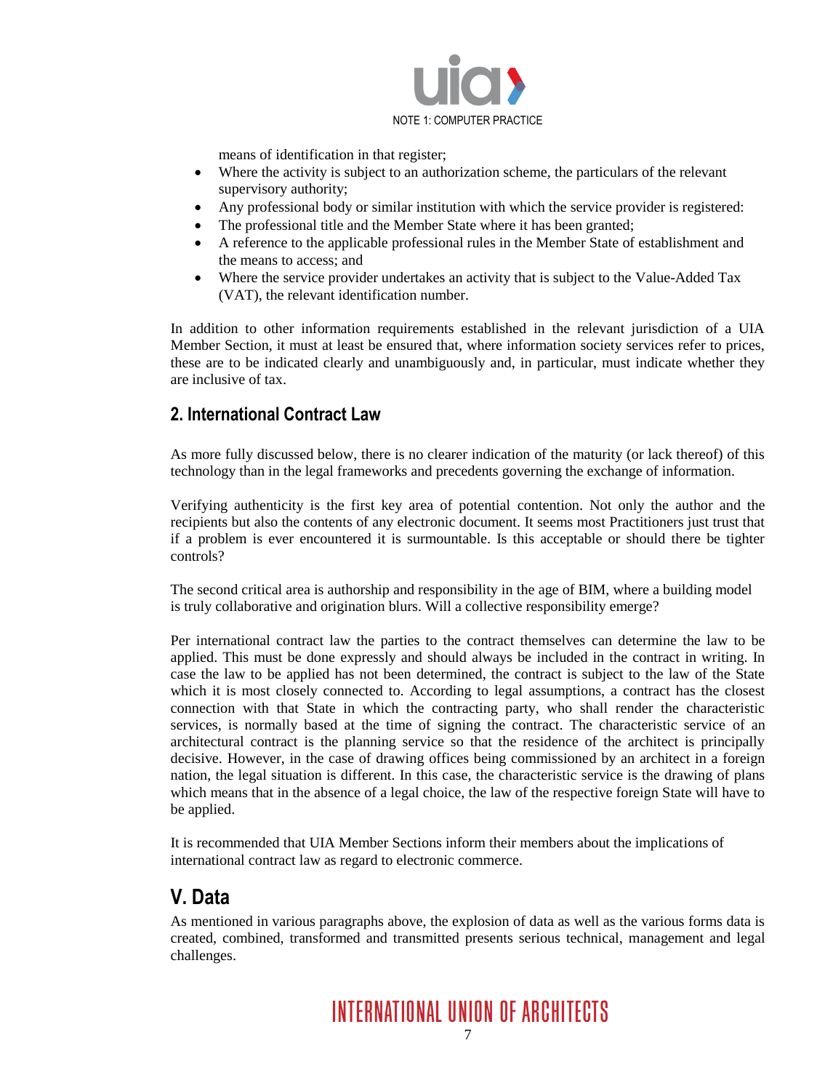

means of identification in that register;

- Where the activity is subject to an authorization scheme, the particulars of the relevant supervisory authority;
- Any professional body or similar institution with which the service provider is registered:
- The professional title and the Member State where it has been granted;
- A reference to the applicable professional rules in the Member State of establishment and the means to access; and
- Where the service provider undertakes an activity that is subject to the Value-Added Tax (VAT), the relevant identification number.

In addition to other information requirements established in the relevant jurisdiction of a UIA Member Section, it must at least be ensured that, where information society services refer to prices, these are to be indicated clearly and unambiguously and, in particular, must indicate whether they are inclusive of tax.

#### **2. International Contract Law**

As more fully discussed below, there is no clearer indication of the maturity (or lack thereof) of this technology than in the legal frameworks and precedents governing the exchange of information.

Verifying authenticity is the first key area of potential contention. Not only the author and the recipients but also the contents of any electronic document. It seems most Practitioners just trust that if a problem is ever encountered it is surmountable. Is this acceptable or should there be tighter controls?

The second critical area is authorship and responsibility in the age of BIM, where a building model is truly collaborative and origination blurs. Will a collective responsibility emerge?

Per international contract law the parties to the contract themselves can determine the law to be applied. This must be done expressly and should always be included in the contract in writing. In case the law to be applied has not been determined, the contract is subject to the law of the State which it is most closely connected to. According to legal assumptions, a contract has the closest connection with that State in which the contracting party, who shall render the characteristic services, is normally based at the time of signing the contract. The characteristic service of an architectural contract is the planning service so that the residence of the architect is principally decisive. However, in the case of drawing offices being commissioned by an architect in a foreign nation, the legal situation is different. In this case, the characteristic service is the drawing of plans which means that in the absence of a legal choice, the law of the respective foreign State will have to be applied.

It is recommended that UIA Member Sections inform their members about the implications of international contract law as regard to electronic commerce.

### **V. Data**

As mentioned in various paragraphs above, the explosion of data as well as the various forms data is created, combined, transformed and transmitted presents serious technical, management and legal challenges.

**INTERNATIONAL UNION OF ARCHITECTS**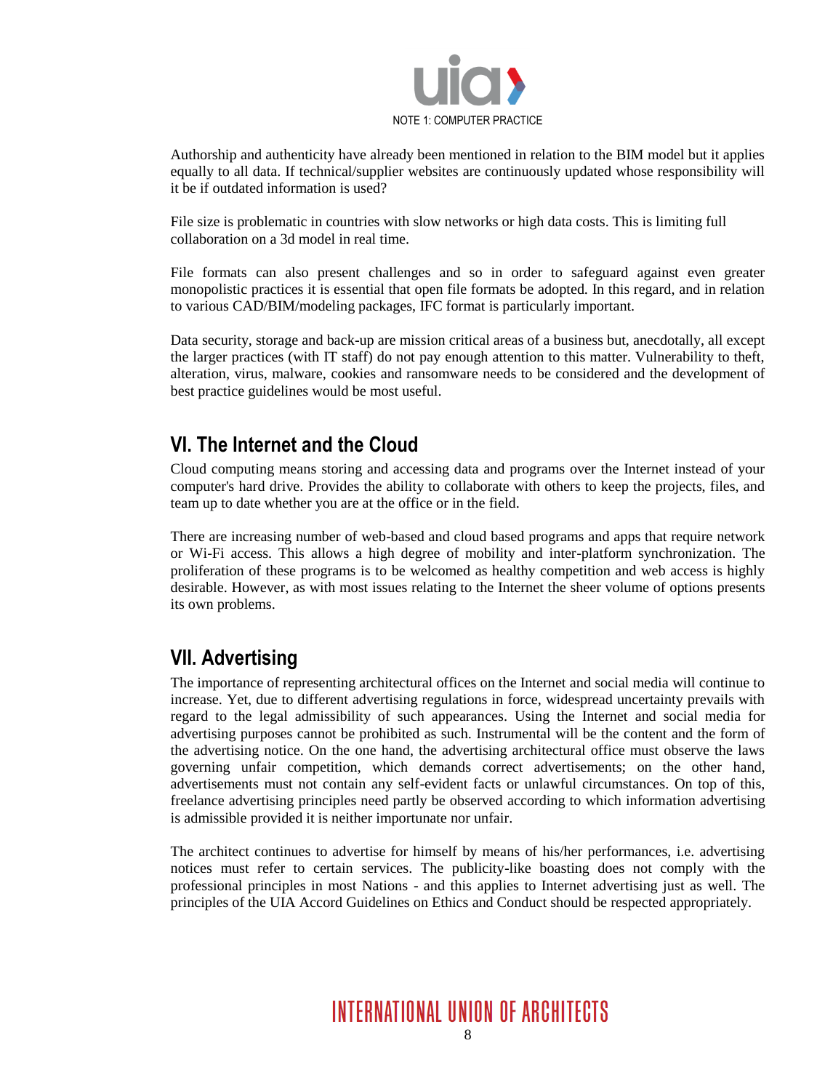

Authorship and authenticity have already been mentioned in relation to the BIM model but it applies equally to all data. If technical/supplier websites are continuously updated whose responsibility will it be if outdated information is used?

File size is problematic in countries with slow networks or high data costs. This is limiting full collaboration on a 3d model in real time.

File formats can also present challenges and so in order to safeguard against even greater monopolistic practices it is essential that open file formats be adopted. In this regard, and in relation to various CAD/BIM/modeling packages, IFC format is particularly important.

Data security, storage and back-up are mission critical areas of a business but, anecdotally, all except the larger practices (with IT staff) do not pay enough attention to this matter. Vulnerability to theft, alteration, virus, malware, cookies and ransomware needs to be considered and the development of best practice guidelines would be most useful.

### **VI. The Internet and the Cloud**

Cloud computing means storing and accessing data and programs over the Internet instead of your computer's hard drive. Provides the ability to collaborate with others to keep the projects, files, and team up to date whether you are at the office or in the field.

There are increasing number of web-based and cloud based programs and apps that require network or Wi-Fi access. This allows a high degree of mobility and inter-platform synchronization. The proliferation of these programs is to be welcomed as healthy competition and web access is highly desirable. However, as with most issues relating to the Internet the sheer volume of options presents its own problems.

### **VII. Advertising**

The importance of representing architectural offices on the Internet and social media will continue to increase. Yet, due to different advertising regulations in force, widespread uncertainty prevails with regard to the legal admissibility of such appearances. Using the Internet and social media for advertising purposes cannot be prohibited as such. Instrumental will be the content and the form of the advertising notice. On the one hand, the advertising architectural office must observe the laws governing unfair competition, which demands correct advertisements; on the other hand, advertisements must not contain any self-evident facts or unlawful circumstances. On top of this, freelance advertising principles need partly be observed according to which information advertising is admissible provided it is neither importunate nor unfair.

The architect continues to advertise for himself by means of his/her performances, i.e. advertising notices must refer to certain services. The publicity-like boasting does not comply with the professional principles in most Nations - and this applies to Internet advertising just as well. The principles of the UIA Accord Guidelines on Ethics and Conduct should be respected appropriately.